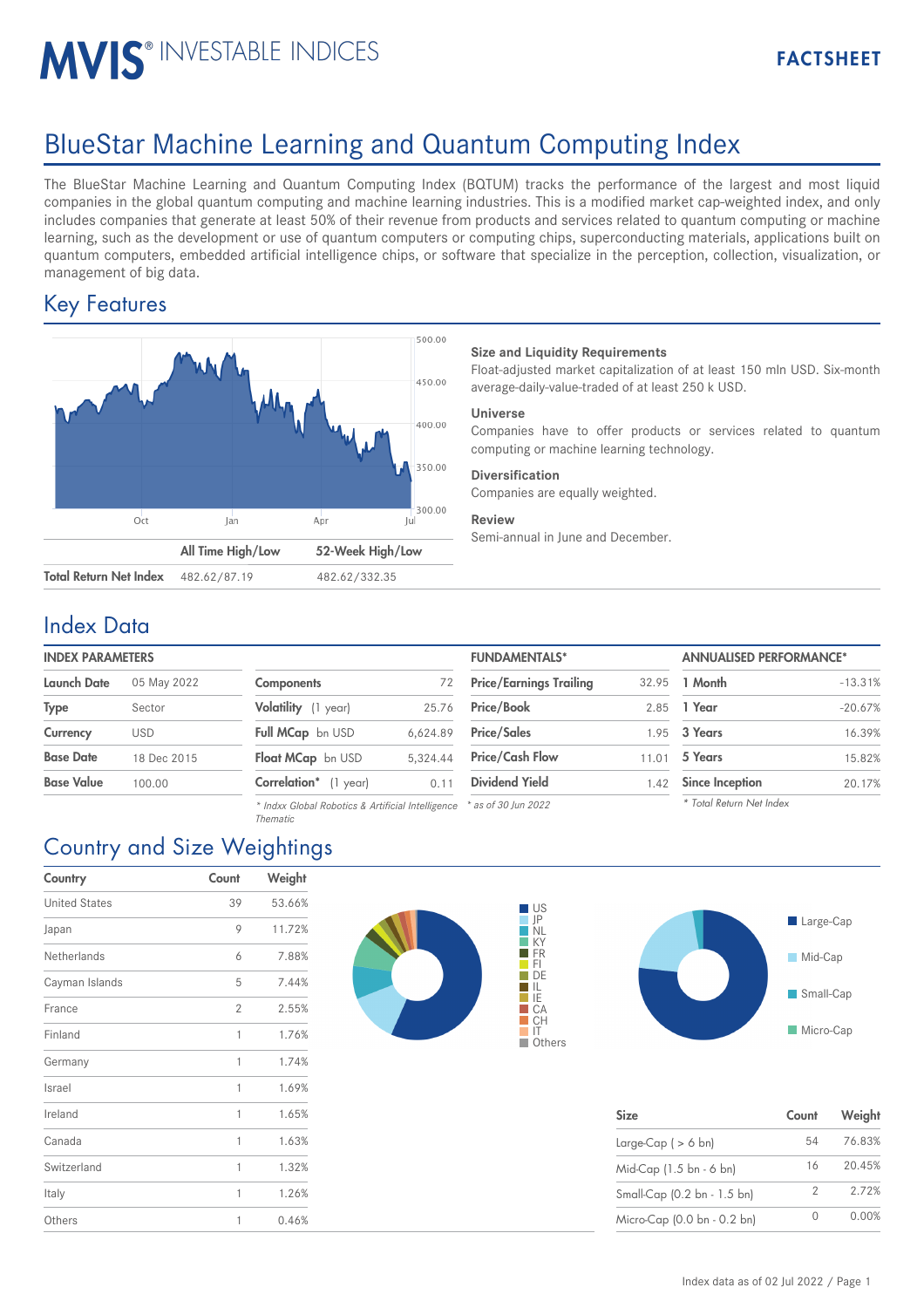# MVIS<sup>®</sup> INVESTABLE INDICES

## BlueStar Machine Learning and Quantum Computing Index

The BlueStar Machine Learning and Quantum Computing Index (BQTUM) tracks the performance of the largest and most liquid companies in the global quantum computing and machine learning industries. This is a modified market cap-weighted index, and only includes companies that generate at least 50% of their revenue from products and services related to quantum computing or machine learning, such as the development or use of quantum computers or computing chips, superconducting materials, applications built on quantum computers, embedded artificial intelligence chips, or software that specialize in the perception, collection, visualization, or management of big data.

## Key Features



#### **Size and Liquidity Requirements**

Float-adjusted market capitalization of at least 150 mln USD. Six-month average-daily-value-traded of at least 250 k USD.

#### **Universe**

Companies have to offer products or services related to quantum computing or machine learning technology.

#### **Diversification**

Companies are equally weighted.

#### **Review**

Semi-annual in June and December.

### Index Data

#### **INDEX PARAMETERS**

| <b>Launch Date</b> | 05 May 2022 | Сc |
|--------------------|-------------|----|
| <b>Type</b>        | Sector      | Vc |
| Currency           | <b>USD</b>  | Fu |
| <b>Base Date</b>   | 18 Dec 2015 | Fk |
| <b>Base Value</b>  | 100.00      | Cc |

| <b>Components</b>        | 72       |
|--------------------------|----------|
| Volatility (1 year)      | 25.76    |
| Full MCap bn USD         | 6,624.89 |
| <b>Float MCap</b> bn USD | 5.324.44 |
| Correlation* (1 year)    | 0.11     |

*\* Indxx Global Robotics & Artificial Intelligence \* as of 30 Jun 2022 Thematic*

| <b>INDEX PARAMETERS</b> |             |                       |          | <b>FUNDAMENTALS*</b>           |       | <b>ANNUALISED PERFORMANCE*</b> |           |
|-------------------------|-------------|-----------------------|----------|--------------------------------|-------|--------------------------------|-----------|
| Launch Date             | 05 May 2022 | <b>Components</b>     |          | <b>Price/Earnings Trailing</b> |       | 32.95 <b>1 Month</b>           | $-13.31%$ |
| Type                    | Sector      | Volatility (1 year)   | 25.76    | <b>Price/Book</b>              | 2.85  | 1 Year                         | $-20.67%$ |
| Currency                | <b>USD</b>  | Full MCap bn USD      | 6.624.89 | <b>Price/Sales</b>             |       | 1.95 3 Years                   | 16.39%    |
| <b>Base Date</b>        | 18 Dec 2015 | Float MCap bn USD     | 5.324.44 | <b>Price/Cash Flow</b>         | 11.01 | 5 Years                        | 15.82%    |
| Base Value              | 100.00      | Correlation* (1 year) | 0.11     | <b>Dividend Yield</b>          | 1.42  | Since Inception                | 20.17%    |
|                         |             |                       |          |                                |       | $\cdots$ $\cdots$              |           |

| 3 Years                  | 16.39% |
|--------------------------|--------|
| 5 Years                  | 15.82% |
| <b>Since Inception</b>   | 20.17% |
| * Total Return Net Index |        |

## Country and Size Weightings

| Country              | Count          | Weight |  |
|----------------------|----------------|--------|--|
| <b>United States</b> | 39             | 53.66% |  |
| Japan                | 9              | 11.72% |  |
| Netherlands          | 6              | 7.88%  |  |
| Cayman Islands       | 5              | 7.44%  |  |
| France               | $\overline{2}$ | 2.55%  |  |
| Finland              | 1              | 1.76%  |  |
| Germany              | 1              | 1.74%  |  |
| Israel               | 1              | 1.69%  |  |
| Ireland              | 1              | 1.65%  |  |
| Canada               | 1              | 1.63%  |  |
| Switzerland          | 1              | 1.32%  |  |
| Italy                | 1              | 1.26%  |  |
| Others               | 1              | 0.46%  |  |





| <b>Size</b>                 | Count | Weight |
|-----------------------------|-------|--------|
| Large-Cap $($ > 6 bn)       | 54    | 76.83% |
| Mid-Cap (1.5 bn - 6 bn)     | 16    | 20.45% |
| Small-Cap (0.2 bn - 1.5 bn) | 2     | 2.72%  |
| Micro-Cap (0.0 bn - 0.2 bn) |       | 0.00%  |